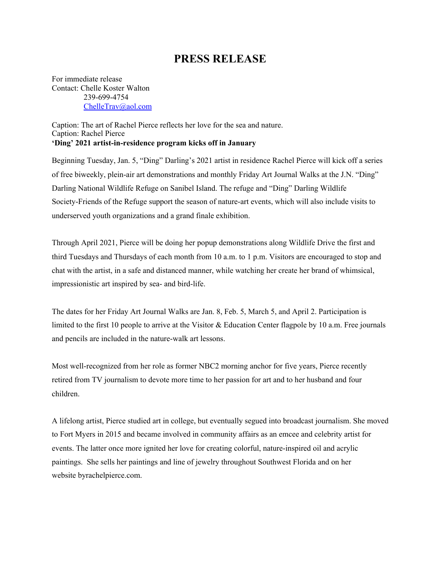## **PRESS RELEASE**

For immediate release Contact: Chelle Koster Walton 239-699-4754 [ChelleTrav@aol.com](mailto:ChelleTrav@aol.com)

Caption: The art of Rachel Pierce reflects her love for the sea and nature. Caption: Rachel Pierce **'Ding' 2021 artist-in-residence program kicks off in January**

Beginning Tuesday, Jan. 5, "Ding" Darling's 2021 artist in residence Rachel Pierce will kick off a series of free biweekly, plein-air art demonstrations and monthly Friday Art Journal Walks at the J.N. "Ding" Darling National Wildlife Refuge on Sanibel Island. The refuge and "Ding" Darling Wildlife Society-Friends of the Refuge support the season of nature-art events, which will also include visits to underserved youth organizations and a grand finale exhibition.

Through April 2021, Pierce will be doing her popup demonstrations along Wildlife Drive the first and third Tuesdays and Thursdays of each month from 10 a.m. to 1 p.m. Visitors are encouraged to stop and chat with the artist, in a safe and distanced manner, while watching her create her brand of whimsical, impressionistic art inspired by sea- and bird-life.

The dates for her Friday Art Journal Walks are Jan. 8, Feb. 5, March 5, and April 2. Participation is limited to the first 10 people to arrive at the Visitor & Education Center flagpole by 10 a.m. Free journals and pencils are included in the nature-walk art lessons.

Most well-recognized from her role as former NBC2 morning anchor for five years, Pierce recently retired from TV journalism to devote more time to her passion for art and to her husband and four children.

A lifelong artist, Pierce studied art in college, but eventually segued into broadcast journalism. She moved to Fort Myers in 2015 and became involved in community affairs as an emcee and celebrity artist for events. The latter once more ignited her love for creating colorful, nature-inspired oil and acrylic paintings. She sells her paintings and line of jewelry throughout Southwest Florida and on her website [byrachelpierce.com.](http://www.byrachelpierce.com/)